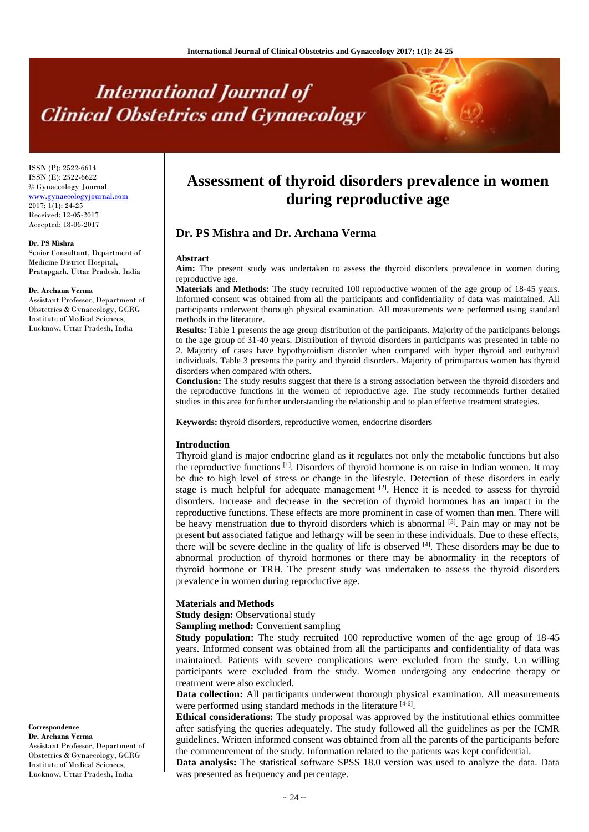# **International Journal of Clinical Obstetrics and Gynaecology**

ISSN (P): 2522-6614 ISSN (E): 2522-6622 © Gynaecology Journal <www.gynaecologyjournal.com> 2017; 1(1): 24-25 Received: 12-05-2017 Accepted: 18-06-2017

#### **Dr. PS Mishra**

Senior Consultant, Department of Medicine District Hospital, Pratapgarh, Uttar Pradesh, India

#### **Dr. Archana Verma**

Assistant Professor, Department of Obstetrics & Gynaecology, GCRG Institute of Medical Sciences, Lucknow, Uttar Pradesh, India

**Correspondence**

**Dr. Archana Verma** Assistant Professor, Department of Obstetrics & Gynaecology, GCRG Institute of Medical Sciences, Lucknow, Uttar Pradesh, India

## **Assessment of thyroid disorders prevalence in women during reproductive age**

### **Dr. PS Mishra and Dr. Archana Verma**

#### **Abstract**

**Aim:** The present study was undertaken to assess the thyroid disorders prevalence in women during reproductive age.

**Materials and Methods:** The study recruited 100 reproductive women of the age group of 18-45 years. Informed consent was obtained from all the participants and confidentiality of data was maintained. All participants underwent thorough physical examination. All measurements were performed using standard methods in the literature.

**Results:** Table 1 presents the age group distribution of the participants. Majority of the participants belongs to the age group of 31-40 years. Distribution of thyroid disorders in participants was presented in table no 2. Majority of cases have hypothyroidism disorder when compared with hyper thyroid and euthyroid individuals. Table 3 presents the parity and thyroid disorders. Majority of primiparous women has thyroid disorders when compared with others.

**Conclusion:** The study results suggest that there is a strong association between the thyroid disorders and the reproductive functions in the women of reproductive age. The study recommends further detailed studies in this area for further understanding the relationship and to plan effective treatment strategies.

**Keywords:** thyroid disorders, reproductive women, endocrine disorders

#### **Introduction**

Thyroid gland is major endocrine gland as it regulates not only the metabolic functions but also the reproductive functions  $[1]$ . Disorders of thyroid hormone is on raise in Indian women. It may be due to high level of stress or change in the lifestyle. Detection of these disorders in early stage is much helpful for adequate management <sup>[2]</sup>. Hence it is needed to assess for thyroid disorders. Increase and decrease in the secretion of thyroid hormones has an impact in the reproductive functions. These effects are more prominent in case of women than men. There will be heavy menstruation due to thyroid disorders which is abnormal  $[3]$ . Pain may or may not be present but associated fatigue and lethargy will be seen in these individuals. Due to these effects, there will be severe decline in the quality of life is observed [4]. These disorders may be due to abnormal production of thyroid hormones or there may be abnormality in the receptors of thyroid hormone or TRH. The present study was undertaken to assess the thyroid disorders prevalence in women during reproductive age.

#### **Materials and Methods**

**Study design:** Observational study

**Sampling method:** Convenient sampling

**Study population:** The study recruited 100 reproductive women of the age group of 18-45 years. Informed consent was obtained from all the participants and confidentiality of data was maintained. Patients with severe complications were excluded from the study. Un willing participants were excluded from the study. Women undergoing any endocrine therapy or treatment were also excluded.

**Data collection:** All participants underwent thorough physical examination. All measurements were performed using standard methods in the literature [4-6].

**Ethical considerations:** The study proposal was approved by the institutional ethics committee after satisfying the queries adequately. The study followed all the guidelines as per the ICMR guidelines. Written informed consent was obtained from all the parents of the participants before the commencement of the study. Information related to the patients was kept confidential.

**Data analysis:** The statistical software SPSS 18.0 version was used to analyze the data. Data was presented as frequency and percentage.